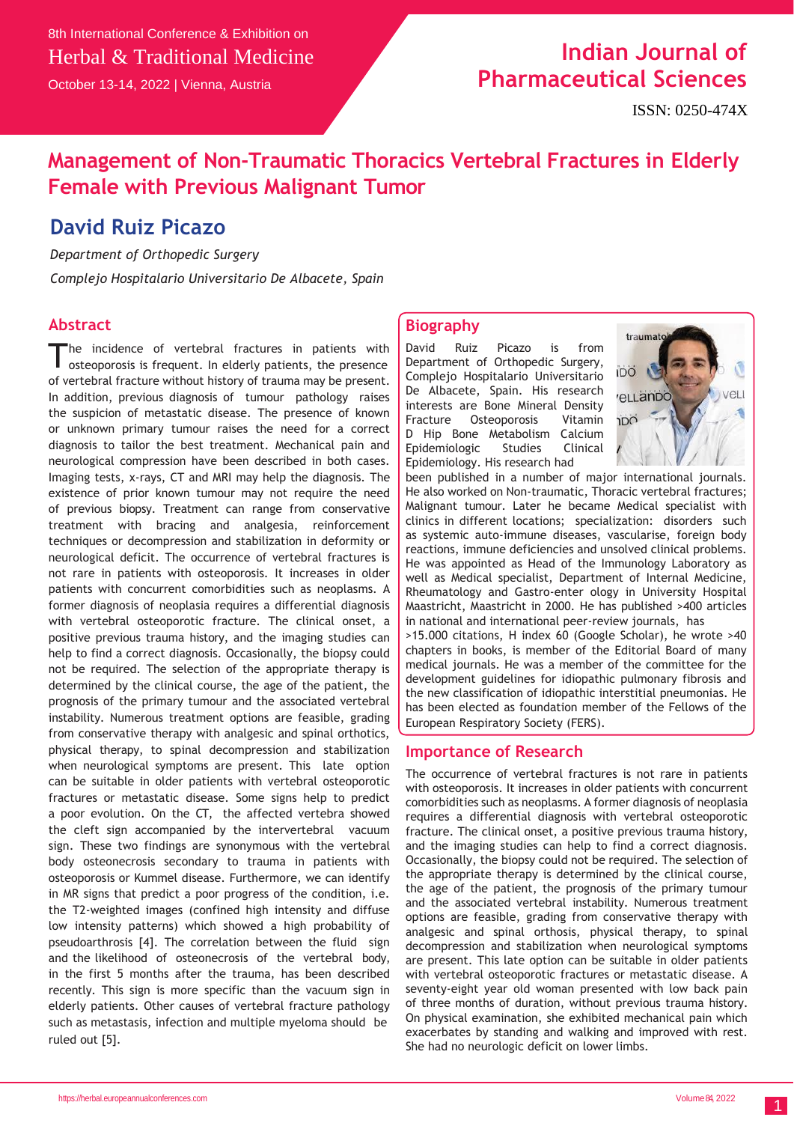# **Indian Journal of Pharmaceutical Sciences**

### **Management of Non-Traumatic Thoracics Vertebral Fractures in Elderly Female with Previous Malignant Tumor**

### **David Ruiz Picazo**

*Department of Orthopedic Surgery*

*Complejo Hospitalario Universitario De Albacete, Spain*

### **Abstract**

The incidence of vertebral fractures in patients with osteoporosis is frequent. In elderly patients, the presence he incidence of vertebral fractures in patients with of vertebral fracture without history of trauma may be present. In addition, previous diagnosis of tumour pathology raises the suspicion of metastatic disease. The presence of known or unknown primary tumour raises the need for a correct diagnosis to tailor the best treatment. Mechanical pain and neurological compression have been described in both cases. Imaging tests, x-rays, CT and MRI may help the diagnosis. The existence of prior known tumour may not require the need of previous biopsy. Treatment can range from conservative treatment with bracing and analgesia, reinforcement techniques or decompression and stabilization in deformity or neurological deficit. The occurrence of vertebral fractures is not rare in patients with osteoporosis. It increases in older patients with concurrent comorbidities such as neoplasms. A former diagnosis of neoplasia requires a differential diagnosis with vertebral osteoporotic fracture. The clinical onset, a positive previous trauma history, and the imaging studies can help to find a correct diagnosis. Occasionally, the biopsy could not be required. The selection of the appropriate therapy is determined by the clinical course, the age of the patient, the prognosis of the primary tumour and the associated vertebral instability. Numerous treatment options are feasible, grading from conservative therapy with analgesic and spinal orthotics, physical therapy, to spinal decompression and stabilization when neurological symptoms are present. This late option can be suitable in older patients with vertebral osteoporotic fractures or metastatic disease. Some signs help to predict a poor evolution. On the CT, the affected vertebra showed the cleft sign accompanied by the intervertebral vacuum sign. These two findings are synonymous with the vertebral body osteonecrosis secondary to trauma in patients with osteoporosis or Kummel disease. Furthermore, we can identify in MR signs that predict a poor progress of the condition, i.e. the T2-weighted images (confined high intensity and diffuse low intensity patterns) which showed a high probability of pseudoarthrosis [4]. The correlation between the fluid sign and the likelihood of osteonecrosis of the vertebral body, in the first 5 months after the trauma, has been described recently. This sign is more specific than the vacuum sign in elderly patients. Other causes of vertebral fracture pathology such as metastasis, infection and multiple myeloma should be ruled out [5].

#### **Biography**

David Ruiz Picazo is from Department of Orthopedic Surgery, Complejo Hospitalario Universitario De Albacete, Spain. His research interests are Bone Mineral Density Fracture Osteoporosis Vitamin D Hip Bone Metabolism Calcium Epidemiologic Studies Clinical Epidemiology. His research had



been published in a number of major international journals. He also worked on Non-traumatic, Thoracic vertebral fractures; Malignant tumour. Later he became Medical specialist with clinics in different locations; specialization: disorders such as systemic auto-immune diseases, vascularise, foreign body reactions, immune deficiencies and unsolved clinical problems. He was appointed as Head of the Immunology Laboratory as well as Medical specialist, Department of Internal Medicine, Rheumatology and Gastro-enter ology in University Hospital Maastricht, Maastricht in 2000. He has published >400 articles in national and international peer-review journals, has >15.000 citations, H index 60 (Google Scholar), he wrote >40 chapters in books, is member of the Editorial Board of many medical journals. He was a member of the committee for the development guidelines for idiopathic pulmonary fibrosis and

the new classification of idiopathic interstitial pneumonias. He has been elected as foundation member of the Fellows of the European Respiratory Society (FERS).

#### **Importance of Research**

The occurrence of vertebral fractures is not rare in patients with osteoporosis. It increases in older patients with concurrent comorbidities such as neoplasms. A former diagnosis of neoplasia requires a differential diagnosis with vertebral osteoporotic fracture. The clinical onset, a positive previous trauma history, and the imaging studies can help to find a correct diagnosis. Occasionally, the biopsy could not be required. The selection of the appropriate therapy is determined by the clinical course, the age of the patient, the prognosis of the primary tumour and the associated vertebral instability. Numerous treatment options are feasible, grading from conservative therapy with analgesic and spinal orthosis, physical therapy, to spinal decompression and stabilization when neurological symptoms are present. This late option can be suitable in older patients with vertebral osteoporotic fractures or metastatic disease. A seventy-eight year old woman presented with low back pain of three months of duration, without previous trauma history. On physical examination, she exhibited mechanical pain which exacerbates by standing and walking and improved with rest. She had no neurologic deficit on lower limbs.